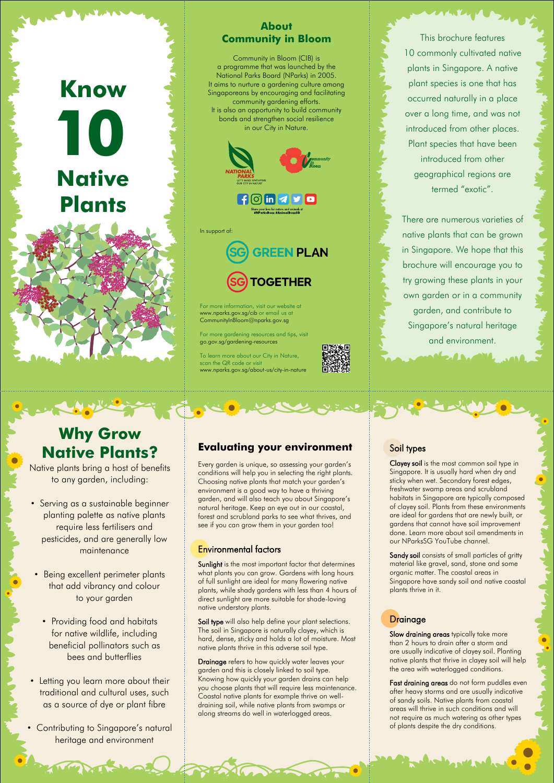This brochure features 10 commonly cultivated native plants in Singapore. A native plant species is one that has occurred naturally in a place over a long time, and was not introduced from other places. Plant species that have been introduced from other geographical regions are termed "exotic".

# **10 Know Native Plants**

There are numerous varieties of native plants that can be grown in Singapore. We hope that this brochure will encourage you to try growing these plants in your own garden or in a community garden, and contribute to Singapore's natural heritage and environment.

March Bart

## **About Community in Bloom**

Community in Bloom (CIB) is a programme that was launched by the National Parks Board (NParks) in 2005. It aims to nurture a gardening culture among Singaporeans by encouraging and facilitating community gardening efforts. It is also an opportunity to build community bonds and strengthen social resilience in our City in Nature.



For more information, visit our website at www.nparks.gov.sg/cib or email us at CommunityInBloom@nparks.gov.sg

For more gardening resources and tips, visit go.gov.sg/gardening-resources

To learn more about our City in Nature, scan the QR code or visit www.nparks.gov.sg/about-us/city-in-nature

In support of:



# **Why Grow Native Plants?**

Sunlight is the most important factor that determines what plants you can grow. Gardens with long hours of full sunlight are ideal for many flowering native plants, while shady gardens with less than 4 hours of direct sunlight are more suitable for shade-loving native understory plants.

Native plants bring a host of benefits to any garden, including:

> Soil type will also help define your plant selections. The soil in Singapore is naturally clayey, which is hard, dense, sticky and holds a lot of moisture. Most native plants thrive in this adverse soil type.

- Serving as a sustainable beginner planting palette as native plants require less fertilisers and pesticides, and are generally low maintenance
- Being excellent perimeter plants that add vibrancy and colour

## to your garden

- Providing food and habitats for native wildlife, including beneficial pollinators such as bees and butterflies
- Letting you learn more about their traditional and cultural uses, such as a source of dye or plant fibre
- Contributing to Singapore's natural heritage and environment

# **Evaluating your environment**

Sandy soil consists of small particles of gritty material like gravel, sand, stone and some organic matter. The coastal areas in Singapore have sandy soil and native coastal plants thrive in it.

Slow draining areas typically take more than 2 hours to drain after a storm and are usually indicative of clayey soil. Planting native plants that thrive in clayey soil will help the area with waterlogged conditions.

Every garden is unique, so assessing your garden's conditions will help you in selecting the right plants. Choosing native plants that match your garden's environment is a good way to have a thriving garden, and will also teach you about Singapore's natural heritage. Keep an eye out in our coastal, forest and scrubland parks to see what thrives, and see if you can grow them in your garden too!

> Fast draining areas do not form puddles even after heavy storms and are usually indicative of sandy soils. Native plants from coastal areas will thrive in such conditions and will not require as much watering as other types of plants despite the dry conditions.

## Environmental factors

 $\frac{1}{2}$ 

Drainage refers to how quickly water leaves your garden and this is closely linked to soil type. Knowing how quickly your garden drains can help you choose plants that will require less maintenance. Coastal native plants for example thrive on welldraining soil, while native plants from swamps or along streams do well in waterlogged areas.

# **Drainage**

# Soil types

Clayey soil is the most common soil type in Singapore. It is usually hard when dry and sticky when wet. Secondary forest edges, freshwater swamp areas and scrubland habitats in Singapore are typically composed of clayey soil. Plants from these environments are ideal for gardens that are newly built, or gardens that cannot have soil improvement done. Learn more about soil amendments in our NParksSG YouTube channel.